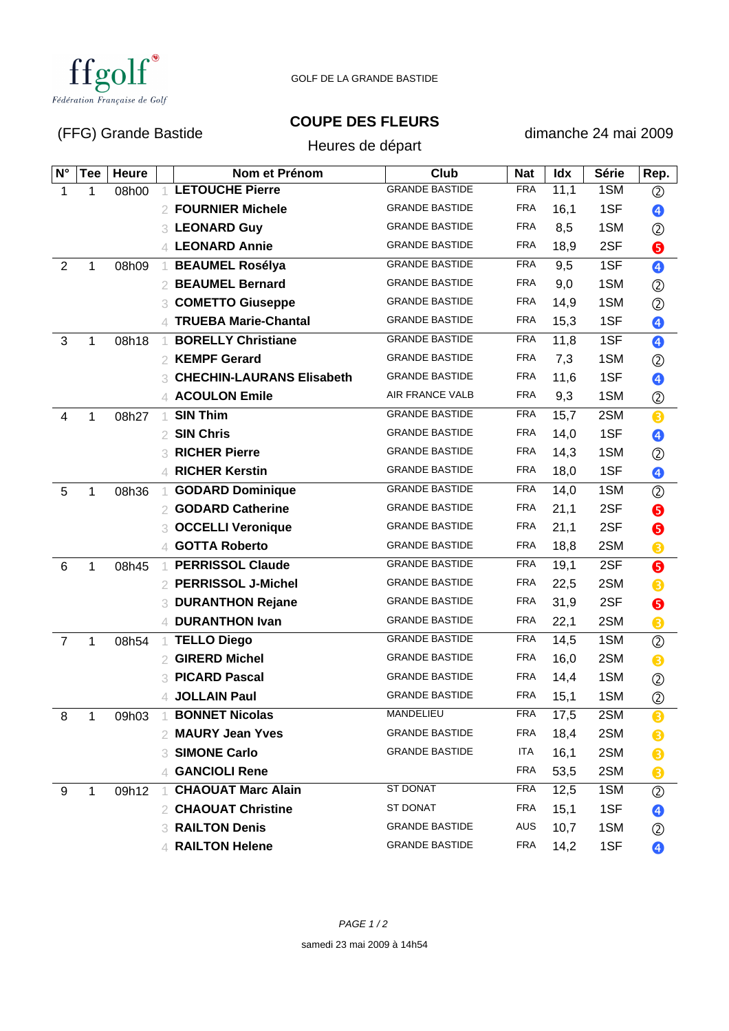

GOLF DE LA GRANDE BASTIDE

## (FFG) Grande Bastide

**COUPE DES FLEURS**

dimanche 24 mai 2009

|                | $(1 + 9)$ Oranuc Dasnuc |       |                |                                  | Heures de départ      |            | 10110110221110122000 |              |                |  |
|----------------|-------------------------|-------|----------------|----------------------------------|-----------------------|------------|----------------------|--------------|----------------|--|
| $N^{\circ}$    | <b>Tee</b>              | Heure |                | Nom et Prénom                    | Club                  | <b>Nat</b> | Idx                  | <b>Série</b> | Rep.           |  |
| 1              | 1                       | 08h00 |                | <b>LETOUCHE Pierre</b>           | <b>GRANDE BASTIDE</b> | <b>FRA</b> | 11,1                 | 1SM          | ②              |  |
|                |                         |       | 2              | <b>FOURNIER Michele</b>          | <b>GRANDE BASTIDE</b> | <b>FRA</b> | 16,1                 | 1SF          | ❹              |  |
|                |                         |       |                | 3 LEONARD Guy                    | <b>GRANDE BASTIDE</b> | <b>FRA</b> | 8,5                  | 1SM          | ②              |  |
|                |                         |       | $\Delta$       | <b>LEONARD Annie</b>             | <b>GRANDE BASTIDE</b> | <b>FRA</b> | 18,9                 | 2SF          | ❺              |  |
| $\overline{2}$ | 1                       | 08h09 | -1             | <b>BEAUMEL Rosélya</b>           | <b>GRANDE BASTIDE</b> | <b>FRA</b> | 9,5                  | 1SF          | $\bullet$      |  |
|                |                         |       | 2              | <b>BEAUMEL Bernard</b>           | <b>GRANDE BASTIDE</b> | <b>FRA</b> | 9,0                  | 1SM          | ②              |  |
|                |                         |       | 3              | <b>COMETTO Giuseppe</b>          | <b>GRANDE BASTIDE</b> | <b>FRA</b> | 14,9                 | 1SM          | ②              |  |
|                |                         |       |                | <b>TRUEBA Marie-Chantal</b>      | <b>GRANDE BASTIDE</b> | <b>FRA</b> | 15,3                 | 1SF          | ❹              |  |
| $\mathfrak{S}$ | 1                       | 08h18 |                | <b>BORELLY Christiane</b>        | <b>GRANDE BASTIDE</b> | <b>FRA</b> | 11,8                 | 1SF          | ❹              |  |
|                |                         |       | 2              | <b>KEMPF Gerard</b>              | <b>GRANDE BASTIDE</b> | <b>FRA</b> | 7,3                  | 1SM          | $^{\circledR}$ |  |
|                |                         |       | 3              | <b>CHECHIN-LAURANS Elisabeth</b> | <b>GRANDE BASTIDE</b> | <b>FRA</b> | 11,6                 | 1SF          | ❹              |  |
|                |                         |       |                | <b>ACOULON Emile</b>             | AIR FRANCE VALB       | <b>FRA</b> | 9,3                  | 1SM          | $^{\circledR}$ |  |
| $\overline{4}$ | 1                       | 08h27 | 1              | <b>SIN Thim</b>                  | <b>GRANDE BASTIDE</b> | <b>FRA</b> | 15,7                 | 2SM          | ❸              |  |
|                |                         |       | 2              | <b>SIN Chris</b>                 | <b>GRANDE BASTIDE</b> | <b>FRA</b> | 14,0                 | 1SF          | ❹              |  |
|                |                         |       | 3              | <b>RICHER Pierre</b>             | <b>GRANDE BASTIDE</b> | <b>FRA</b> | 14,3                 | 1SM          | ②              |  |
|                |                         |       | $\varDelta$    | <b>RICHER Kerstin</b>            | <b>GRANDE BASTIDE</b> | <b>FRA</b> | 18,0                 | 1SF          | ❹              |  |
| 5              | 1                       | 08h36 |                | <b>GODARD Dominique</b>          | <b>GRANDE BASTIDE</b> | <b>FRA</b> | 14,0                 | 1SM          | $^{\circledR}$ |  |
|                |                         |       | 2              | <b>GODARD Catherine</b>          | <b>GRANDE BASTIDE</b> | <b>FRA</b> | 21,1                 | 2SF          | ❺              |  |
|                |                         |       |                | <b>OCCELLI Veronique</b>         | <b>GRANDE BASTIDE</b> | <b>FRA</b> | 21,1                 | 2SF          | ❺              |  |
|                |                         |       | 4              | <b>GOTTA Roberto</b>             | <b>GRANDE BASTIDE</b> | <b>FRA</b> | 18,8                 | 2SM          | ❸              |  |
| 6              | 1                       | 08h45 | -1             | <b>PERRISSOL Claude</b>          | <b>GRANDE BASTIDE</b> | <b>FRA</b> | 19,1                 | 2SF          | $\bullet$      |  |
|                |                         |       |                | <b>PERRISSOL J-Michel</b>        | <b>GRANDE BASTIDE</b> | <b>FRA</b> | 22,5                 | 2SM          | ❸              |  |
|                |                         |       | 3              | <b>DURANTHON Rejane</b>          | <b>GRANDE BASTIDE</b> | <b>FRA</b> | 31,9                 | 2SF          | ❺              |  |
|                |                         |       | 4              | <b>DURANTHON Ivan</b>            | <b>GRANDE BASTIDE</b> | <b>FRA</b> | 22,1                 | 2SM          | ❸              |  |
| $\overline{7}$ | 1                       | 08h54 | $\overline{1}$ | <b>TELLO Diego</b>               | <b>GRANDE BASTIDE</b> | <b>FRA</b> | 14,5                 | 1SM          | $^{\circledR}$ |  |
|                |                         |       |                | <b>GIRERD Michel</b>             | <b>GRANDE BASTIDE</b> | <b>FRA</b> | 16,0                 | 2SM          | ❸              |  |
|                |                         |       | 3              | <b>PICARD Pascal</b>             | <b>GRANDE BASTIDE</b> | <b>FRA</b> | 14,4                 | 1SM          | $^{\circledR}$ |  |
|                |                         |       |                | 4 JOLLAIN Paul                   | <b>GRANDE BASTIDE</b> | <b>FRA</b> | 15,1                 | 1SM          | ②              |  |
| 8              | $\mathbf{1}$            | 09h03 |                | <b>BONNET Nicolas</b>            | MANDELIEU             | <b>FRA</b> | 17,5                 | 2SM          | ❸              |  |
|                |                         |       |                | 2 MAURY Jean Yves                | <b>GRANDE BASTIDE</b> | FRA        | 18,4                 | 2SM          | ❸              |  |
|                |                         |       | 3.             | <b>SIMONE Carlo</b>              | <b>GRANDE BASTIDE</b> | ITA        | 16,1                 | 2SM          | ❸              |  |
|                |                         |       | 4              | <b>GANCIOLI Rene</b>             |                       | <b>FRA</b> | 53,5                 | 2SM          | ❸              |  |
| 9              | 1                       | 09h12 |                | <b>CHAOUAT Marc Alain</b>        | <b>ST DONAT</b>       | <b>FRA</b> | 12,5                 | 1SM          | ②              |  |
|                |                         |       | 2              | <b>CHAOUAT Christine</b>         | ST DONAT              | <b>FRA</b> | 15,1                 | 1SF          | ❹              |  |
|                |                         |       | 3              | <b>RAILTON Denis</b>             | <b>GRANDE BASTIDE</b> | AUS        | 10,7                 | 1SM          | ②              |  |
|                |                         |       |                | <b>RAILTON Helene</b>            | <b>GRANDE BASTIDE</b> | <b>FRA</b> | 14,2                 | 1SF          | ❹              |  |